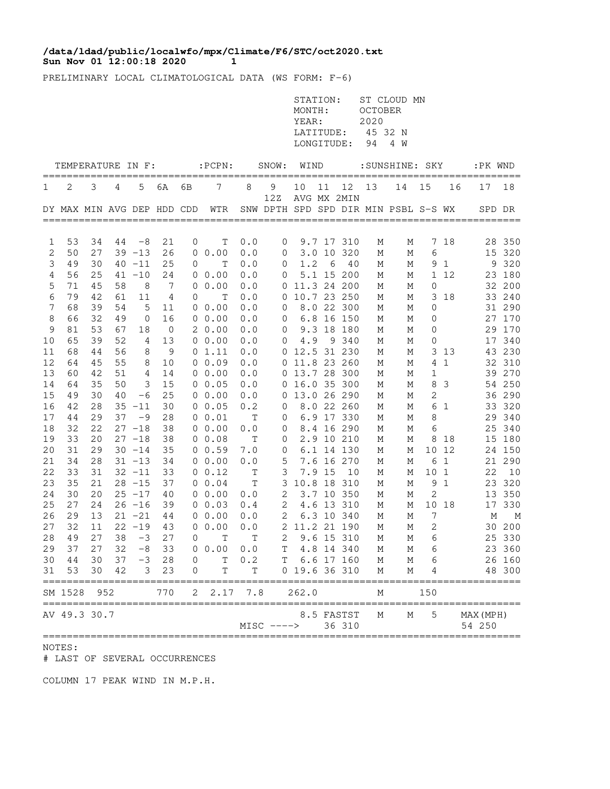## **Sun Nov 01 12:00:18 2020 1 /data/ldad/public/localwfo/mpx/Climate/F6/STC/oct2020.txt**

PRELIMINARY LOCAL CLIMATOLOGICAL DATA (WS FORM: F-6)

|          |                            |          |    |                   |          |           |                 |             |              | STATION:<br>MONTH:<br>YEAR:<br>LATITUDE:<br>LONGITUDE: |        |                           | OCTOBER<br>2020<br>45 32 N<br>94 | ST CLOUD MN<br>4 W                   |              |              |           |            |
|----------|----------------------------|----------|----|-------------------|----------|-----------|-----------------|-------------|--------------|--------------------------------------------------------|--------|---------------------------|----------------------------------|--------------------------------------|--------------|--------------|-----------|------------|
|          | TEMPERATURE IN F:          |          |    |                   |          | ========= | $:$ PCPN $:$    | =======     | SNOW:        | WIND                                                   |        | ========                  |                                  | :SUNSHINE: SKY                       |              |              | :PK WND   |            |
| 1        | 2                          | 3        | 4  | 5                 | 6A       | 6В        | 7               | 8           | 9            | 10                                                     | 11     | 12<br>AVG MX 2MIN         | 13                               | 14                                   | 15           | 16           | 17        | 18         |
|          | DY MAX MIN AVG DEP HDD CDD |          |    |                   |          |           | WTR             |             | 12Z          |                                                        |        |                           |                                  | SNW DPTH SPD SPD DIR MIN PSBL S-S WX |              |              | SPD DR    |            |
|          |                            | 34       |    |                   |          |           |                 | 0.0         |              |                                                        |        |                           |                                  |                                      |              |              |           | 350        |
| 1<br>2   | 53<br>50                   | 27       | 44 | $-8$<br>$39 - 13$ | 21<br>26 | 0         | Т<br>00.00      | 0.0         | 0<br>0       | 3.0                                                    | 10     | 9.7 17 310<br>320         | М<br>М                           | Μ<br>Μ                               | 7<br>6       | 18           | 28<br>15  | 320        |
| 3        | 49                         | 30       |    | $40 - 11$         | 25       | 0         | Т               | 0.0         | 0            | 1.2                                                    | 6      | 40                        | М                                | М                                    | 9            | 1            | 9         | 320        |
| 4        | 56                         | 25       | 41 | $-10$             | 24       |           | 00.00           | 0.0         | 0            |                                                        | 5.1 15 | 200                       | М                                | Μ                                    | 1            | 12           | 23        | 180        |
| 5        | 71                         | 45       | 58 | 8                 | 7        |           | 00.00           | 0.0         | 0            |                                                        |        | 11.3 24 200               | М                                | Μ                                    | 0            |              | 32        | 200        |
| 6        | 79                         | 42       | 61 | 11                | 4        | 0         | T               | 0.0         | 0            |                                                        |        | 10.7 23 250               | М                                | М                                    | 3            | 18           | 33        | 240        |
| 7        | 68                         | 39       | 54 | 5                 | 11       | 0         | 0.00            | 0.0         | 0            |                                                        | 8.0 22 | 300                       | М                                | М                                    | 0            |              |           | 31 290     |
| 8        | 66                         | 32       | 49 | 0                 | 16       |           | $0\;\;0.00$     | 0.0         | 0            |                                                        |        | 6.8 16 150                | М                                | М                                    | 0            |              |           | 27 170     |
| 9        | 81                         | 53       | 67 | 18                | 0        |           | 20.00           | 0.0         | 0            | 9.3                                                    |        | 18 180                    | М                                | М                                    | 0            |              |           | 29 170     |
| 10       | 65                         | 39       | 52 | 4                 | 13       |           | 00.00           | 0.0         | 0            | 4.9                                                    |        | 9 340                     | М                                | М                                    | 0            |              | 17        | 340        |
| 11       | 68                         | 44       | 56 | 8                 | 9        |           | 01.11           | 0.0         | 0            | 12.5                                                   |        | 31 230                    | М                                | М                                    | 3            | 13           | 43        | 230        |
| 12       | 64                         | 45       | 55 | 8                 | 10       |           | 00.09           | 0.0         | 0            | 11.8 23 260                                            |        |                           | М                                | М                                    | 4            | $\mathbf 1$  |           | 32 310     |
| 13       | 60                         | 42       | 51 | 4                 | 14       |           | 00.00           | 0.0         | 0            | 13.7 28                                                |        | 300                       | М                                | Μ                                    | 1            |              | 39        | 270        |
| 14       | 64                         | 35       | 50 | 3                 | 15       |           | 0 0.05          | 0.0         | 0            |                                                        |        | 16.0 35 300               | М                                | М                                    | 8            | 3            |           | 54 250     |
| 15<br>16 | 49<br>42                   | 30<br>28 | 40 | $-6$<br>$35 - 11$ | 25<br>30 |           | 00.00<br>0 0.05 | 0.0<br>0.2  | 0            |                                                        |        | 13.0 26 290<br>8.0 22 260 | М                                | М<br>М                               | 2<br>6       | 1            | 36<br>33  | 290<br>320 |
| 17       | 44                         | 29       | 37 | -9                | 28       |           | 0 0.01          | $\mathbb T$ | 0<br>0       |                                                        |        | 6.9 17 330                | М<br>М                           | М                                    | 8            |              | 29        | 340        |
| 18       | 32                         | 22       |    | $27 - 18$         | 38       |           | 00.00           | 0.0         | 0            |                                                        |        | 8.4 16 290                | М                                | М                                    | 6            |              | 25        | 340        |
| 19       | 33                         | 20       |    | $27 - 18$         | 38       |           | $0\;\;0.08$     | Т           | 0            |                                                        |        | 2.9 10 210                | М                                | М                                    | 8            | 18           | 15        | 180        |
| 20       | 31                         | 29       |    | $30 - 14$         | 35       |           | 0 0.59          | 7.0         | 0            |                                                        |        | 6.1 14 130                | М                                | М                                    | 10           | 12           |           | 24 150     |
| 21       | 34                         | 28       |    | $31 - 13$         | 34       |           | 00.00           | 0.0         | 5            | 7.6                                                    |        | 16 270                    | М                                | М                                    | 6            | $\mathbf{1}$ | 21        | 290        |
| 22       | 33                         | 31       |    | $32 - 11$         | 33       |           | $0 \t 0.12$     | Т           | 3            |                                                        | 7.9 15 | 10                        | М                                | М                                    | 10           | $\mathbf{1}$ | 22        | 10         |
| 23       | 35                         | 21       |    | $28 - 15$         | 37       |           | 0 0.04          | $\mathbb T$ | 3            | 10.8 18                                                |        | 310                       | М                                | Μ                                    | 9            | $\mathbf 1$  | 23        | 320        |
| 24       | 30                         | 20       |    | $25 - 17$         | 40       |           | 00.00           | 0.0         | 2            |                                                        | 3.7 10 | 350                       | М                                | М                                    | $\mathbf{2}$ |              | 13        | 350        |
| 25       | 27                         | 24       |    | $26 - 16$         | 39       |           | $0 \t 0.03$     | 0.4         | 2            |                                                        | 4.6 13 | 310                       | М                                | Μ                                    | 10           | 18           | 17        | 330        |
| 26       | 29                         | 13       |    | $21 - 21$         | 44       |           | $0\;\;0.00$     | 0.0         | 2            |                                                        |        | 6.3 10 340                | М                                | М                                    | 7            |              | М         | М          |
| 27       | 32                         | 11       |    | $22 - 19$         | 43       |           | 00.00           | 0.0         | 2            |                                                        |        | 11.2 21 190               | М                                | М                                    | 2            |              | 30        | 200        |
| 28       | 49                         | 27       | 38 | $-3$              | 27       | 0         | T               | Т           | 2            |                                                        |        | 9.6 15 310                | М                                | М                                    | 6            |              |           | 25 330     |
| 29       | 37                         | 27       | 32 | $-8$              | 33       |           | 0 0.00          | 0.0         | Т            |                                                        |        | 4.8 14 340                | М                                | Μ                                    | 6            |              |           | 23 360     |
| 30       | 44                         | 30       | 37 | $-3$              | 28       | 0         | $\mathbf T$     | 0.2         | T            |                                                        |        | 6.6 17 160                | Μ                                | М                                    | 6            |              |           | 26 160     |
| 31       | 53                         | 30       | 42 | 3                 | 23       | 0         | Τ               | Т           |              | 0 19.6 36 310                                          |        |                           | Μ                                | М                                    | 4            |              |           | 48 300     |
|          | SM 1528                    | 952      |    |                   | 770      | 2         | 2.17            | 7.8         |              | 262.0                                                  |        |                           | М                                |                                      | 150          |              |           |            |
|          | AV 49.3 30.7               |          |    |                   |          |           |                 |             |              |                                                        |        | 8.5 FASTST                | Μ                                | М                                    | 5            |              | MAX (MPH) |            |
|          |                            |          |    |                   |          |           |                 |             | $MISC$ ----> |                                                        |        | 36 310                    |                                  |                                      |              |              | 54 250    |            |

NOTES:

# LAST OF SEVERAL OCCURRENCES

COLUMN 17 PEAK WIND IN M.P.H.